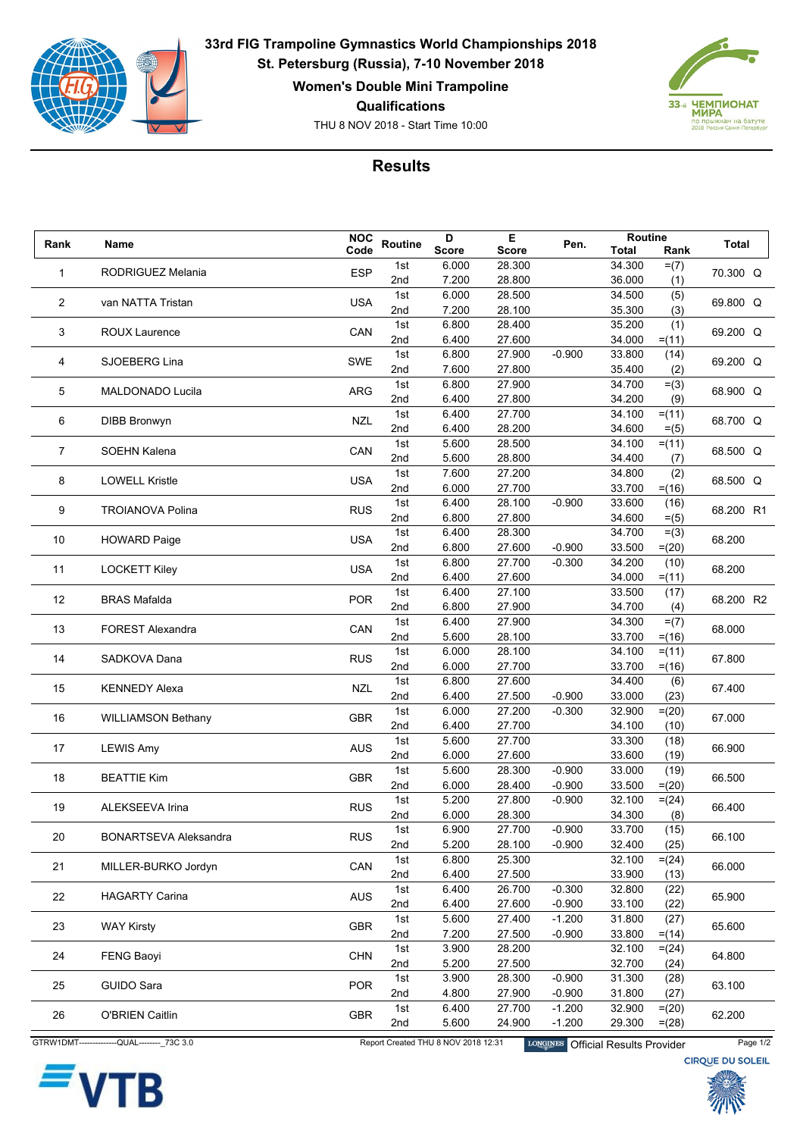

**33rd FIG Trampoline Gymnastics World Championships 2018 St. Petersburg (Russia), 7-10 November 2018**

**Women's Double Mini Trampoline**

**Qualifications**

THU 8 NOV 2018 - Start Time 10:00



## **Results**

| Rank           |                              | <b>NOC</b> |            | D              | Е                | Pen.     | Routine          |                  |              |
|----------------|------------------------------|------------|------------|----------------|------------------|----------|------------------|------------------|--------------|
|                | Name                         | Code       | Routine    | <b>Score</b>   | <b>Score</b>     |          | <b>Total</b>     | Rank             | <b>Total</b> |
| 1              | RODRIGUEZ Melania            | <b>ESP</b> | 1st        | 6.000          | 28.300           |          | 34.300           | $= (7)$          | 70.300 Q     |
|                |                              |            | 2nd        | 7.200          | 28.800           |          | 36.000           | (1)              |              |
| $\overline{2}$ | van NATTA Tristan            | <b>USA</b> | 1st        | 6.000          | 28.500           |          | 34.500           | (5)              | 69.800 Q     |
|                |                              |            | 2nd        | 7.200          | 28.100           |          | 35.300           | (3)              |              |
|                |                              | CAN        | 1st        | 6.800          | 28.400           |          | 35.200           | (1)              |              |
| 3              | <b>ROUX Laurence</b>         |            | 2nd        | 6.400          | 27.600           |          | 34.000           | $= (11)$         | 69.200 Q     |
|                |                              |            | 1st        | 6.800          | 27.900           | $-0.900$ | 33.800           | (14)             |              |
| 4              | SJOEBERG Lina                | SWE        | 2nd        | 7.600          | 27.800           |          | 35.400           | (2)              | 69.200 Q     |
|                |                              |            | 1st        | 6.800          | 27.900           |          | 34.700           | $= (3)$          |              |
| 5              | MALDONADO Lucila             | ARG        | 2nd        | 6.400          | 27.800           |          | 34.200           | (9)              | 68.900 Q     |
|                |                              |            | 1st        | 6.400          | 27.700           |          | 34.100           | $= (11)$         |              |
| 6              | <b>DIBB Bronwyn</b>          | <b>NZL</b> | 2nd        | 6.400          | 28.200           |          | 34.600           | $= (5)$          | 68.700 Q     |
|                |                              |            | 1st        | 5.600          | 28.500           |          | 34.100           | $= (11)$         |              |
| $\overline{7}$ | <b>SOEHN Kalena</b>          | CAN        | 2nd        | 5.600          | 28.800           |          | 34.400           | (7)              | 68.500 Q     |
|                |                              |            | 1st        | 7.600          | 27.200           |          | 34.800           | (2)              |              |
| 8              | <b>LOWELL Kristle</b>        | <b>USA</b> | 2nd        | 6.000          | 27.700           |          | 33.700           | $= (16)$         | 68.500 Q     |
|                |                              |            | 1st        | 6.400          | 28.100           | $-0.900$ | 33.600           | (16)             |              |
| 9              | <b>TROIANOVA Polina</b>      | <b>RUS</b> | 2nd        | 6.800          | 27.800           |          | 34.600           | $= (5)$          | 68.200 R1    |
|                |                              |            | 1st        | 6.400          | 28.300           |          | 34.700           | $= (3)$          |              |
| 10             | <b>HOWARD Paige</b>          | <b>USA</b> | 2nd        | 6.800          | 27.600           | $-0.900$ | 33.500           | $= (20)$         | 68.200       |
|                |                              |            | 1st        | 6.800          | 27.700           | $-0.300$ | 34.200           | (10)             |              |
| 11             | <b>LOCKETT Kiley</b>         | <b>USA</b> | 2nd        | 6.400          | 27.600           |          | 34.000           | $= (11)$         | 68.200       |
|                |                              |            | 1st        | 6.400          | 27.100           |          | 33.500           | (17)             |              |
| 12             | <b>BRAS Mafalda</b>          | <b>POR</b> | 2nd        | 6.800          | 27.900           |          | 34.700           | (4)              | 68.200 R2    |
|                |                              |            | 1st        | 6.400          | 27.900           |          | 34.300           | $= (7)$          |              |
| 13             | <b>FOREST Alexandra</b>      | CAN        | 2nd        | 5.600          | 28.100           |          | 33.700           | $= (16)$         | 68.000       |
|                |                              |            | 1st        | 6.000          | 28.100           |          | 34.100           | $= (11)$         |              |
| 14             | SADKOVA Dana                 | <b>RUS</b> | 2nd        | 6.000          | 27.700           |          | 33.700           | $= (16)$         | 67.800       |
|                |                              |            | 1st        | 6.800          | 27.600           |          | 34.400           | (6)              |              |
| 15             | <b>KENNEDY Alexa</b>         | <b>NZL</b> | 2nd        | 6.400          | 27.500           | $-0.900$ | 33.000           | (23)             | 67.400       |
|                |                              |            | 1st        | 6.000          | 27.200           | $-0.300$ | 32.900           | $= (20)$         |              |
| 16             | <b>WILLIAMSON Bethany</b>    | <b>GBR</b> | 2nd        | 6.400          | 27.700           |          | 34.100           | (10)             | 67.000       |
|                |                              |            | 1st        | 5.600          | 27.700           |          | 33.300           | (18)             |              |
| 17             | <b>LEWIS Amy</b>             | <b>AUS</b> | 2nd        | 6.000          | 27.600           |          | 33.600           | (19)             | 66.900       |
|                |                              |            | 1st        | 5.600          | 28.300           | $-0.900$ | 33.000           |                  |              |
| 18             | <b>BEATTIE Kim</b>           | <b>GBR</b> | 2nd        | 6.000          | 28.400           | $-0.900$ | 33.500           | (19)<br>$= (20)$ | 66.500       |
|                |                              |            | 1st        | 5.200          | 27.800           | $-0.900$ | 32.100           |                  |              |
| 19             | ALEKSEEVA Irina              | <b>RUS</b> | 2nd        | 6.000          | 28.300           |          | 34.300           | $= (24)$<br>(8)  | 66.400       |
|                |                              |            | 1st        | 6.900          | 27.700           | $-0.900$ | 33.700           | (15)             |              |
| 20             | <b>BONARTSEVA Aleksandra</b> | <b>RUS</b> | 2nd        | 5.200          | 28.100           | $-0.900$ | 32.400           | (25)             | 66.100       |
|                |                              |            | 1st        | 6.800          | 25.300           |          | 32.100           |                  |              |
| 21             | MILLER-BURKO Jordyn          | CAN        | 2nd        | 6.400          | 27.500           |          |                  | $=(24)$          | 66.000       |
|                |                              |            | 1st        | 6.400          | 26.700           | $-0.300$ | 33.900<br>32.800 | (13)             |              |
| 22             | <b>HAGARTY Carina</b>        | AUS        |            |                |                  |          |                  | (22)             | 65.900       |
|                |                              |            | 2nd        | 6.400          | 27.600           | $-0.900$ | 33.100           | (22)             |              |
| 23             | <b>WAY Kirsty</b>            | <b>GBR</b> | 1st<br>2nd | 5.600<br>7.200 | 27.400<br>27.500 | $-1.200$ | 31.800<br>33.800 | (27)             | 65.600       |
|                |                              |            |            |                |                  | $-0.900$ |                  | $= (14)$         |              |
| 24             | <b>FENG Baoyi</b>            | <b>CHN</b> | 1st        | 3.900          | 28.200           |          | 32.100           | $=(24)$          | 64.800       |
|                |                              |            | 2nd        | 5.200          | 27.500           |          | 32.700           | (24)             |              |
| 25             | <b>GUIDO Sara</b>            | <b>POR</b> | 1st        | 3.900          | 28.300           | $-0.900$ | 31.300           | (28)             | 63.100       |
|                |                              |            | 2nd        | 4.800          | 27.900           | $-0.900$ | 31.800           | (27)             |              |
| 26             | <b>O'BRIEN Caitlin</b>       | GBR        | 1st        | 6.400          | 27.700           | $-1.200$ | 32.900           | $= (20)$         | 62.200       |
|                |                              |            | 2nd        | 5.600          | 24.900           | $-1.200$ | 29.300           | $=(28)$          |              |



GTRW1DMT--------------QUAL---------\_73C 3.0 Report Created THU 8 NOV 2018 12:31 LONGINES Official Results Provider Page 1/2<br>CIRQUE DU SOLEIL